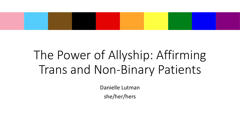## The Power of Allyship: Affirming Trans and Non-Binary Patients

Danielle Lutman she/her/hers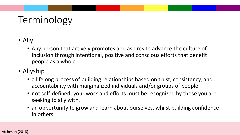### Terminology

- Ally
	- Any person that actively promotes and aspires to advance the culture of inclusion through intentional, positive and conscious efforts that benefit people as a whole.
- Allyship
	- a lifelong process of building relationships based on trust, consistency, and accountability with marginalized individuals and/or groups of people.
	- not self-defined; your work and efforts must be recognized by those you are seeking to ally with.
	- an opportunity to grow and learn about ourselves, whilst building confidence in others.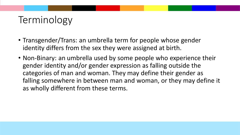### Terminology

- Transgender/Trans: an umbrella term for people whose gender identity differs from the sex they were assigned at birth.
- Non-Binary: an umbrella used by some people who experience their gender identity and/or gender expression as falling outside the categories of man and woman. They may define their gender as falling somewhere in between man and woman, or they may define it as wholly different from these terms.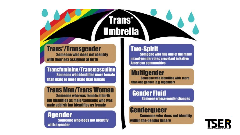## **Umbrella**

**Trans\*** 

#### **Trans\*/Transgender Someone who does not identify** with their sex assigned at birth

**Transfeminine/Transmasculine Someone who identifies more female** than male or more male than female

#### **Trans Man/Trans Woman**

**Someone who was female at birth** but identifies as male/someone who was male at birth but identifies as female

#### **Agender**

**Someone who does not identify** with a gender

#### **Two-Spirit**

**Someone who fills one of the many** mixed-gender roles prevelant in Native **American communities** 

#### **Multigender**

**Someone who identifies with more** than one gender (e.g. bigender)

#### **Gender Fluid**

**Someone whose gender changes** 

#### **Genderqueer**

**Someone who does not identify** within the gender binary

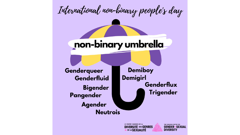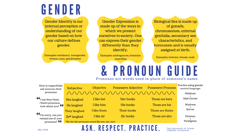## GENDER

**Gender Identity is our** internal perception or understanding of our gender based on how our culture defines gender.

Examples: nonbinary, transgender, woman, man, genderqueer

**Gender Expression is** made up of the ways in which we present ourselves to society. One can express their gender differently than they identify.

Examples: androgynous, feminine, masculine

Biological Sex is made up of gonads, chromosomes, external genitalia, secondary sex characteristics, and hormones; and is usually assigned at birth.

Examples: intersex, female, male

# Pronouns are words used in place of someone's name.

How to respectfully ask someone their pronouns:

 $\mathbf{G}_{I}$  use they/them /theirs pronouns, how about you? 99

I'm sorry, can you remind me of your pronouns? 99

| Subjective                                       | Objective   | <b>Possessive Adjective</b> | <b>Possessive Pronoun</b> | Practice using gender<br>neutral language: |
|--------------------------------------------------|-------------|-----------------------------|---------------------------|--------------------------------------------|
|                                                  |             |                             |                           | Mailman                                    |
| She laughed                                      | I like her  | Her books                   | Those are hers            | Mail Carrier                               |
| He laughed                                       | I like him  | His books                   | Those are his             | Waitress                                   |
| They laughed                                     | I like them | Their books                 | Those are theirs          | Server                                     |
| Ze* laughed                                      | I like zir  | Zir books                   | Those are zirs            | Fireman                                    |
| *Ze/zir/zirs pronouns sound like zee, zur, zurs. | Firefighter |                             |                           |                                            |

#### ASK. RESPECT. PRACTICE.

The University of Toledo LGBTQA+ Initiatives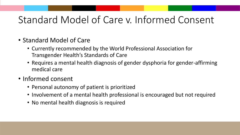### Standard Model of Care v. Informed Consent

- Standard Model of Care
	- Currently recommended by the World Professional Association for Transgender Health's Standards of Care
	- Requires a mental health diagnosis of gender dysphoria for gender-affirming medical care
- Informed consent
	- Personal autonomy of patient is prioritized
	- Involvement of a mental health professional is encouraged but not required
	- No mental health diagnosis is required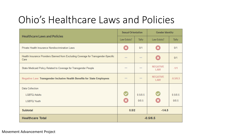### Ohio's Healthcare Laws and Policies

| <b>Healthcare Laws and Policies</b>                                                        |                      | <b>Sexual Orientation</b> |                               | <b>Gender Identity</b> |  |
|--------------------------------------------------------------------------------------------|----------------------|---------------------------|-------------------------------|------------------------|--|
|                                                                                            | Law Exists?          | <b>Tally</b>              | Law Exists?                   | <b>Tally</b>           |  |
| Private Health Insurance Nondiscrimination Laws                                            | (X                   | 0/1                       |                               | 0/1                    |  |
| Health Insurance Providers Banned from Excluding Coverage for Transgender-Specific<br>Care | $-$                  | $-$                       | $\mathbf x$                   | 0/1                    |  |
| State Medicaid Policy Related to Coverage for Transgender People                           | $\qquad \qquad =$    | $\qquad \qquad =$         | <b>NEGATIVE</b><br>LAW        | $-1/1$                 |  |
| Negative Law: Transgender Inclusive Health Benefits for State Employees                    | $\frac{1}{2}$        | $\frac{1}{2}$             | <b>NEGATIVE</b><br><b>LAW</b> | $-0.5/0.5$             |  |
| <b>Data Collection</b>                                                                     |                      |                           |                               |                        |  |
| <b>LGBTQ Adults</b>                                                                        | $\blacktriangledown$ | 0.5/0.5                   |                               | 0.5/0.5                |  |
| <b>LGBTQ Youth</b>                                                                         | ×                    | 0/0.5                     |                               | 0/0.5                  |  |
| <b>Subtotal</b>                                                                            | 0.5/2                |                           | $-1/4.5$                      |                        |  |
| <b>Healthcare Total</b><br>$-0.5/6.5$                                                      |                      |                           |                               |                        |  |

Movement Advancement Project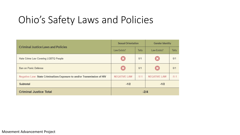### Ohio's Safety Laws and Policies

|                                                                         | <b>Sexual Orientation</b> |              | <b>Gender Identity</b> |         |
|-------------------------------------------------------------------------|---------------------------|--------------|------------------------|---------|
| <b>Criminal Justice Laws and Policies</b>                               | Law Exists?               | <b>Tally</b> | Law Exists?            | Tally   |
| Hate Crime Law Covering LGBTQ People                                    | ×                         | 0/1          |                        | 0/1     |
| Ban on Panic Defense                                                    | $\bm{x}$                  | 0/1          | $\mathbf x$            | 0/1     |
| Negative Law: State Criminalizes Exposure to and/or Transmission of HIV | <b>NEGATIVE LAW</b>       | $-11-1$      | <b>NEGATIVE LAW</b>    | $-11-1$ |
| Subtotal                                                                | $-1/2$                    |              | $-1/2$                 |         |
| <b>Criminal Justice Total</b><br>$-2/4$                                 |                           |              |                        |         |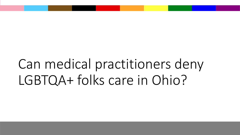## Can medical practitioners deny LGBTQA+ folks care in Ohio?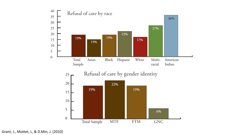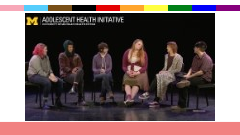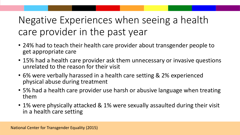### Negative Experiences when seeing a health care provider in the past year

- 24% had to teach their health care provider about transgender people to get appropriate care
- 15% had a health care provider ask them unnecessary or invasive questions unrelated to the reason for their visit
- 6% were verbally harassed in a health care setting & 2% experienced physical abuse during treatment
- 5% had a health care provider use harsh or abusive language when treating them
- 1% were physically attacked & 1% were sexually assaulted during their visit in a health care setting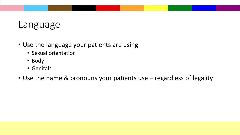#### Language

- Use the language your patients are using
	- Sexual orientation
	- Body
	- Genitals
- Use the name & pronouns your patients use regardless of legality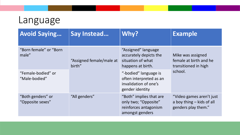## Language

| <b>Avoid Saying</b>                   | Say Instead                        | Why?                                                                                         | <b>Example</b>                                                                 |  |
|---------------------------------------|------------------------------------|----------------------------------------------------------------------------------------------|--------------------------------------------------------------------------------|--|
| "Born female" or "Born"<br>male"      | "Assigned female/male at<br>birth" | "Assigned" language<br>accurately depicts the<br>situation of what<br>happens at birth.      | Mike was assigned<br>female at birth and he<br>transitioned in high            |  |
| "Female-bodied" or<br>"Male-bodied"   |                                    | "-bodied" language is<br>often interpreted as an<br>invalidation of one's<br>gender identity | school.                                                                        |  |
| "Both genders" or<br>"Opposite sexes" | "All genders"                      | "Both" implies that are<br>only two; "Opposite"<br>reinforces antagonism<br>amongst genders  | "Video games aren't just<br>a boy thing $-$ kids of all<br>genders play them." |  |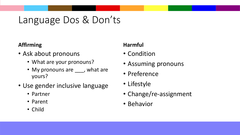#### Language Dos & Don'ts

#### **Affirming**

- Ask about pronouns
	- What are your pronouns?
	- My pronouns are <u>easing</u>, what are yours?
- Use gender inclusive language
	- Partner
	- Parent
	- Child

#### **Harmful**

- Condition
- Assuming pronouns
- Preference
- Lifestyle
- Change/re-assignment
- Behavior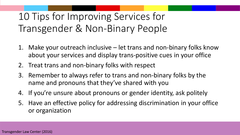### 10 Tips for Improving Services for Transgender & Non-Binary People

- 1. Make your outreach inclusive let trans and non-binary folks know about your services and display trans-positive cues in your office
- 2. Treat trans and non-binary folks with respect
- 3. Remember to always refer to trans and non-binary folks by the name and pronouns that they've shared with you
- 4. If you're unsure about pronouns or gender identity, ask politely
- 5. Have an effective policy for addressing discrimination in your office or organization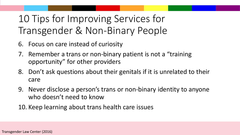### 10 Tips for Improving Services for Transgender & Non-Binary People

- 6. Focus on care instead of curiosity
- 7. Remember a trans or non-binary patient is not a "training opportunity" for other providers
- 8. Don't ask questions about their genitals if it is unrelated to their care
- 9. Never disclose a person's trans or non-binary identity to anyone who doesn't need to know
- 10. Keep learning about trans health care issues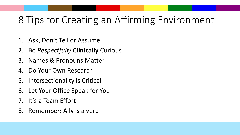### 8 Tips for Creating an Affirming Environment

- 1. Ask, Don't Tell or Assume
- 2. Be *Respectfully* **Clinically** Curious
- 3. Names & Pronouns Matter
- 4. Do Your Own Research
- 5. Intersectionality is Critical
- 6. Let Your Office Speak for You
- 7. It's a Team Effort
- 8. Remember: Ally is a verb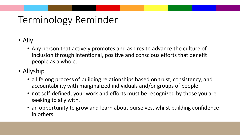### Terminology Reminder

- Ally
	- Any person that actively promotes and aspires to advance the culture of inclusion through intentional, positive and conscious efforts that benefit people as a whole.
- Allyship
	- a lifelong process of building relationships based on trust, consistency, and accountability with marginalized individuals and/or groups of people.
	- not self-defined; your work and efforts must be recognized by those you are seeking to ally with.
	- an opportunity to grow and learn about ourselves, whilst building confidence in others.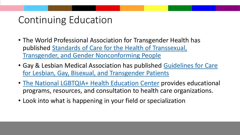### Continuing Education

- The World Professional Association for Transgender Health has [published Standards of Care for the Health of Transsexual,](https://www.wpath.org/publications/soc) Transgender, and Gender Nonconforming People
- [Gay & Lesbian Medical Association has published Guidelines for Care](https://npin.cdc.gov/publication/guidelines-care-lesbian-gay-bisexual-and-transgender-patients)  for Lesbian, Gay, Bisexual, and Transgender Patients
- [The National LGBTQIA+ Health Education Center](https://www.lgbtqiahealtheducation.org/) provides educational programs, resources, and consultation to health care organizations.
- Look into what is happening in your field or specialization